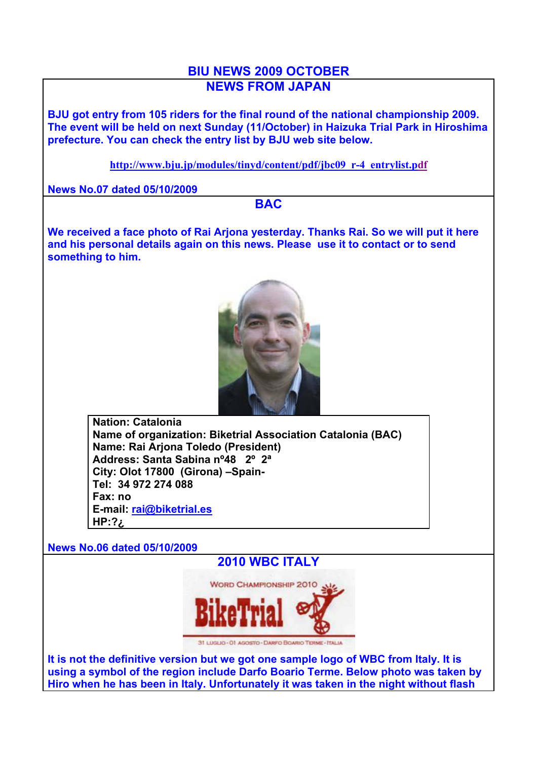## **BIU NEWS 2009 OCTOBER NEWS FROM JAPAN**

**BJU got entry from 105 riders for the final round of the national championship 2009. The event will be held on next Sunday (11/October) in Haizuka Trial Park in Hiroshima prefecture. You can check the entry list by BJU web site below.**

**http://www.bju.jp/modules/tinyd/content/pdf/jbc09\_r-4\_entrylist.pdf**

**News No.07 dated 05/10/2009**

**BAC**

**We received a face photo of Rai Arjona yesterday. Thanks Rai. So we will put it here and his personal details again on this news. Please use it to contact or to send something to him.**



**Nation: Catalonia Name of organization: Biketrial Association Catalonia (BAC) Name: Rai Arjona Toledo (President) Address: Santa Sabina nº48 2º 2ª City: Olot 17800 (Girona) –Spain-Tel: 34 972 274 088 Fax: no E-mail: rai@biketrial.es HP:?¿**

**News No.06 dated 05/10/2009**





31 LUGLIO - 01 AGOSTO - DARFO BOARIO TERME - ITALIA

**It is not the definitive version but we got one sample logo of WBC from Italy. It is using a symbol of the region include Darfo Boario Terme. Below photo was taken by Hiro when he has been in Italy. Unfortunately it was taken in the night without flash**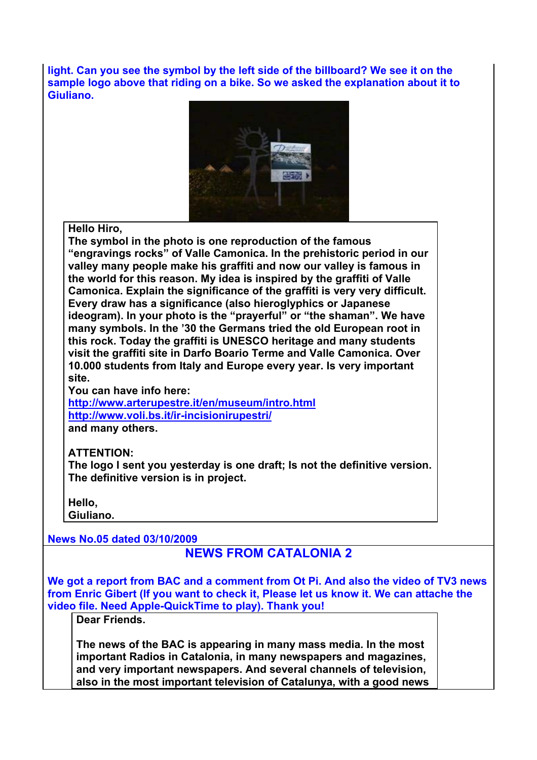**light. Can you see the symbol by the left side of the billboard? We see it on the sample logo above that riding on a bike. So we asked the explanation about it to Giuliano.**



**Hello Hiro,**

**The symbol in the photo is one reproduction of the famous "engravings rocks" of Valle Camonica. In the prehistoric period in our valley many people make his graffiti and now our valley is famous in the world for this reason. My idea is inspired by the graffiti of Valle Camonica. Explain the significance of the graffiti is very very difficult. Every draw has a significance (also hieroglyphics or Japanese ideogram). In your photo is the "prayerful" or "the shaman". We have many symbols. In the '30 the Germans tried the old European root in this rock. Today the graffiti is UNESCO heritage and many students visit the graffiti site in Darfo Boario Terme and Valle Camonica. Over 10.000 students from Italy and Europe every year. Is very important site.** 

**You can have info here:**

**http://www.arterupestre.it/en/museum/intro.html http://www.voli.bs.it/ir-incisionirupestri/ and many others.**

## **ATTENTION:**

**The logo I sent you yesterday is one draft; Is not the definitive version. The definitive version is in project.**

**Hello,** 

**Giuliano.**

**News No.05 dated 03/10/2009**

## **NEWS FROM CATALONIA 2**

**We got a report from BAC and a comment from Ot Pi. And also the video of TV3 news from Enric Gibert (If you want to check it, Please let us know it. We can attache the video file. Need Apple-QuickTime to play). Thank you!**

**Dear Friends.**

**The news of the BAC is appearing in many mass media. In the most important Radios in Catalonia, in many newspapers and magazines, and very important newspapers. And several channels of television, also in the most important television of Catalunya, with a good news**